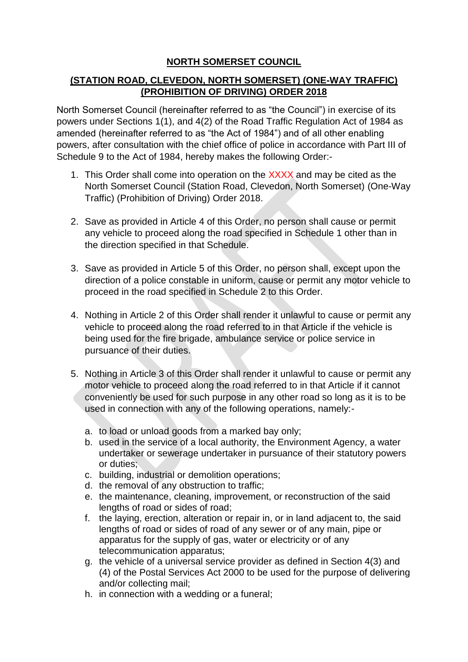## **NORTH SOMERSET COUNCIL**

## **(STATION ROAD, CLEVEDON, NORTH SOMERSET) (ONE-WAY TRAFFIC) (PROHIBITION OF DRIVING) ORDER 2018**

North Somerset Council (hereinafter referred to as "the Council") in exercise of its powers under Sections 1(1), and 4(2) of the Road Traffic Regulation Act of 1984 as amended (hereinafter referred to as "the Act of 1984") and of all other enabling powers, after consultation with the chief office of police in accordance with Part III of Schedule 9 to the Act of 1984, hereby makes the following Order:-

- 1. This Order shall come into operation on the XXXX and may be cited as the North Somerset Council (Station Road, Clevedon, North Somerset) (One-Way Traffic) (Prohibition of Driving) Order 2018.
- 2. Save as provided in Article 4 of this Order, no person shall cause or permit any vehicle to proceed along the road specified in Schedule 1 other than in the direction specified in that Schedule.
- 3. Save as provided in Article 5 of this Order, no person shall, except upon the direction of a police constable in uniform, cause or permit any motor vehicle to proceed in the road specified in Schedule 2 to this Order.
- 4. Nothing in Article 2 of this Order shall render it unlawful to cause or permit any vehicle to proceed along the road referred to in that Article if the vehicle is being used for the fire brigade, ambulance service or police service in pursuance of their duties.
- 5. Nothing in Article 3 of this Order shall render it unlawful to cause or permit any motor vehicle to proceed along the road referred to in that Article if it cannot conveniently be used for such purpose in any other road so long as it is to be used in connection with any of the following operations, namely:
	- a. to load or unload goods from a marked bay only;
	- b. used in the service of a local authority, the Environment Agency, a water undertaker or sewerage undertaker in pursuance of their statutory powers or duties;
	- c. building, industrial or demolition operations;
	- d. the removal of any obstruction to traffic;
	- e. the maintenance, cleaning, improvement, or reconstruction of the said lengths of road or sides of road;
	- f. the laying, erection, alteration or repair in, or in land adjacent to, the said lengths of road or sides of road of any sewer or of any main, pipe or apparatus for the supply of gas, water or electricity or of any telecommunication apparatus;
	- g. the vehicle of a universal service provider as defined in Section 4(3) and (4) of the Postal Services Act 2000 to be used for the purpose of delivering and/or collecting mail;
	- h. in connection with a wedding or a funeral;